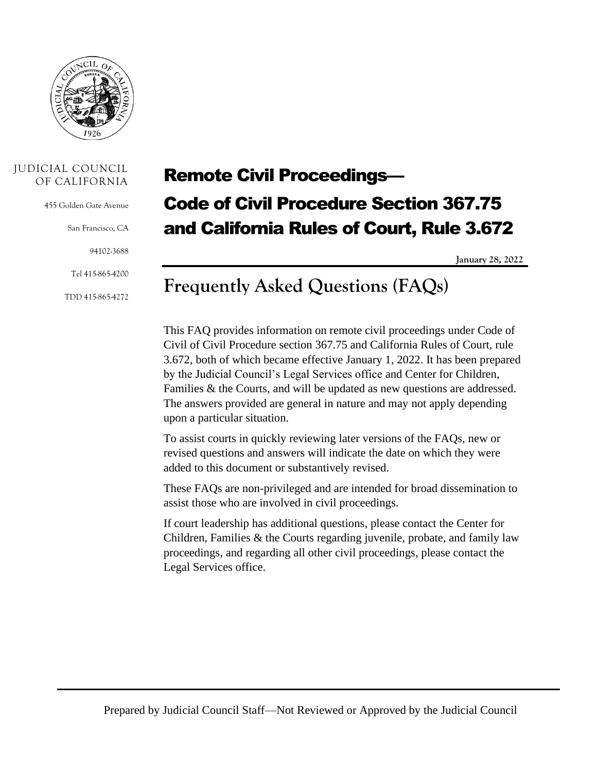

#### JUDICIAL COUNCIL OF CALIFORNIA

455 Golden Gate Avenue

San Francisco, CA

94102-3688

Tel 415-865-4200

TDD 415-865-4272

# Remote Civil Proceedings— Code of Civil Procedure Section 367.75 and California Rules of Court, Rule 3.672

**January 28, 2022**

# **Frequently Asked Questions (FAQs)**

This FAQ provides information on remote civil proceedings under Code of Civil of Civil Procedure section 367.75 and California Rules of Court, rule 3.672, both of which became effective January 1, 2022. It has been prepared by the Judicial Council's Legal Services office and Center for Children, Families & the Courts, and will be updated as new questions are addressed. The answers provided are general in nature and may not apply depending upon a particular situation.

To assist courts in quickly reviewing later versions of the FAQs, new or revised questions and answers will indicate the date on which they were added to this document or substantively revised.

These FAQs are non-privileged and are intended for broad dissemination to assist those who are involved in civil proceedings.

If court leadership has additional questions, please contact the Center for Children, Families & the Courts regarding juvenile, probate, and family law proceedings, and regarding all other civil proceedings, please contact the Legal Services office.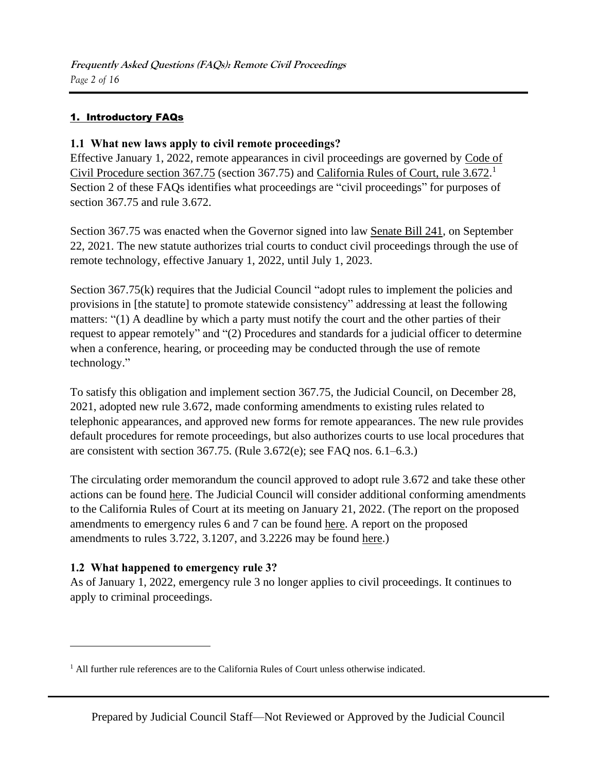#### 1. Introductory FAQs

#### **1.1 What new laws apply to civil remote proceedings?**

Effective January 1, 2022, remote appearances in civil proceedings are governed by [Code of](https://leginfo.legislature.ca.gov/faces/codes_displaySection.xhtml?sectionNum=367.75&lawCode=CCP)  [Civil Procedure section 367.75](https://leginfo.legislature.ca.gov/faces/codes_displaySection.xhtml?sectionNum=367.75&lawCode=CCP) (section 367.75) and [California Rules of Court, rule 3.672.](https://www.courts.ca.gov/cms/rules/index.cfm?title=three&linkid=rule3_672)<sup>1</sup> Section 2 of these FAQs identifies what proceedings are "civil proceedings" for purposes of section 367.75 and rule 3.672.

Section 367.75 was enacted when the Governor signed into law [Senate Bill 241,](https://leginfo.legislature.ca.gov/faces/billTextClient.xhtml?bill_id=202120220SB241) on September 22, 2021. The new statute authorizes trial courts to conduct civil proceedings through the use of remote technology, effective January 1, 2022, until July 1, 2023.

Section 367.75(k) requires that the Judicial Council "adopt rules to implement the policies and provisions in [the statute] to promote statewide consistency" addressing at least the following matters: "(1) A deadline by which a party must notify the court and the other parties of their request to appear remotely" and "(2) Procedures and standards for a judicial officer to determine when a conference, hearing, or proceeding may be conducted through the use of remote technology."

To satisfy this obligation and implement section 367.75, the Judicial Council, on December 28, 2021, adopted new rule 3.672, made conforming amendments to existing rules related to telephonic appearances, and approved new forms for remote appearances. The new rule provides default procedures for remote proceedings, but also authorizes courts to use local procedures that are consistent with section 367.75. (Rule 3.672(e); see FAQ nos. 6.1–6.3.)

The circulating order memorandum the council approved to adopt rule 3.672 and take these other actions can be found [here.](https://jcc.legistar.com/View.ashx?M=M&ID=918636&GUID=BFA5B7E4-6AD9-42AA-BA44-3CCE361CDD7F) The Judicial Council will consider additional conforming amendments to the California Rules of Court at its meeting on January 21, 2022. (The report on the proposed amendments to emergency rules 6 and 7 can be found [here.](https://jcc.legistar.com/View.ashx?M=F&ID=10389923&GUID=65F8A423-A463-4B44-8E12-43172633A1FC) A report on the proposed amendments to rules 3.722, 3.1207, and 3.2226 may be found [here.](https://jcc.legistar.com/View.ashx?M=F&ID=10389924&GUID=CAAE69FB-13C7-4114-A137-452EB1D7C153))

#### **1.2 What happened to emergency rule 3?**

As of January 1, 2022, emergency rule 3 no longer applies to civil proceedings. It continues to apply to criminal proceedings.

 $<sup>1</sup>$  All further rule references are to the California Rules of Court unless otherwise indicated.</sup>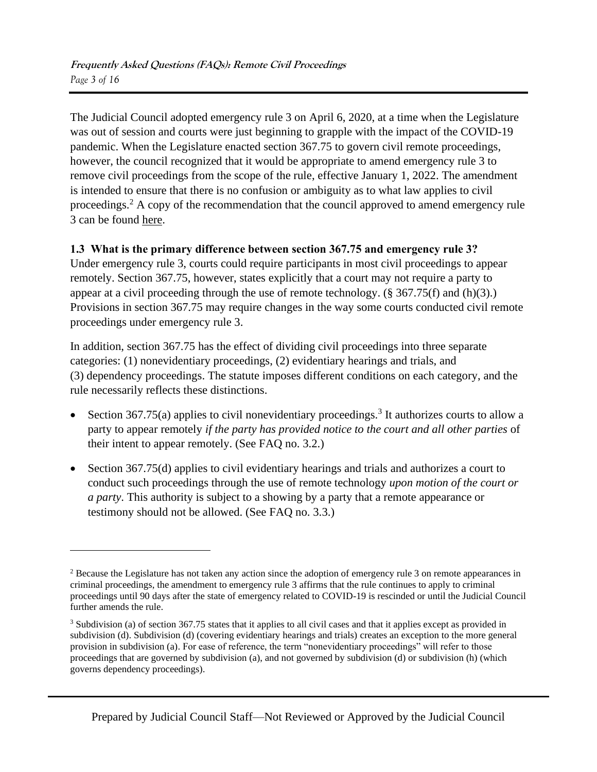The Judicial Council adopted emergency rule 3 on April 6, 2020, at a time when the Legislature was out of session and courts were just beginning to grapple with the impact of the COVID-19 pandemic. When the Legislature enacted section 367.75 to govern civil remote proceedings, however, the council recognized that it would be appropriate to amend emergency rule 3 to remove civil proceedings from the scope of the rule, effective January 1, 2022. The amendment is intended to ensure that there is no confusion or ambiguity as to what law applies to civil proceedings.<sup>2</sup> A copy of the recommendation that the council approved to amend emergency rule 3 can be found [here.](https://jcc.legistar.com/View.ashx?M=F&ID=9943235&GUID=2151CCEB-D89E-4F7F-8D3C-01BD74D9C5E6)

# **1.3 What is the primary difference between section 367.75 and emergency rule 3?**

Under emergency rule 3, courts could require participants in most civil proceedings to appear remotely. Section 367.75, however, states explicitly that a court may not require a party to appear at a civil proceeding through the use of remote technology. (§ 367.75(f) and (h)(3).) Provisions in section 367.75 may require changes in the way some courts conducted civil remote proceedings under emergency rule 3.

In addition, section 367.75 has the effect of dividing civil proceedings into three separate categories: (1) nonevidentiary proceedings, (2) evidentiary hearings and trials, and (3) dependency proceedings. The statute imposes different conditions on each category, and the rule necessarily reflects these distinctions.

- Section 367.75(a) applies to civil nonevidentiary proceedings.<sup>3</sup> It authorizes courts to allow a party to appear remotely *if the party has provided notice to the court and all other parties* of their intent to appear remotely. (See FAQ no. 3.2.)
- Section 367.75(d) applies to civil evidentiary hearings and trials and authorizes a court to conduct such proceedings through the use of remote technology *upon motion of the court or a party*. This authority is subject to a showing by a party that a remote appearance or testimony should not be allowed. (See FAQ no. 3.3.)

<sup>&</sup>lt;sup>2</sup> Because the Legislature has not taken any action since the adoption of emergency rule 3 on remote appearances in criminal proceedings, the amendment to emergency rule 3 affirms that the rule continues to apply to criminal proceedings until 90 days after the state of emergency related to COVID-19 is rescinded or until the Judicial Council further amends the rule.

<sup>3</sup> Subdivision (a) of section 367.75 states that it applies to all civil cases and that it applies except as provided in subdivision (d). Subdivision (d) (covering evidentiary hearings and trials) creates an exception to the more general provision in subdivision (a). For ease of reference, the term "nonevidentiary proceedings" will refer to those proceedings that are governed by subdivision (a), and not governed by subdivision (d) or subdivision (h) (which governs dependency proceedings).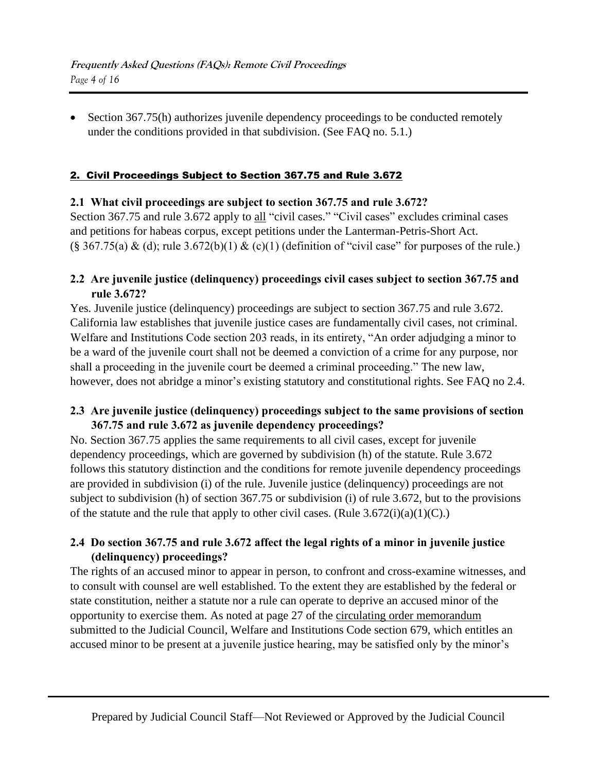• Section 367.75(h) authorizes juvenile dependency proceedings to be conducted remotely under the conditions provided in that subdivision. (See FAQ no. 5.1.)

#### 2. Civil Proceedings Subject to Section 367.75 and Rule 3.672

#### **2.1 What civil proceedings are subject to section 367.75 and rule 3.672?**

Section 367.75 and rule 3.672 apply to all "civil cases." "Civil cases" excludes criminal cases and petitions for habeas corpus, except petitions under the Lanterman-Petris-Short Act.  $(\S 367.75(a) \& (d)$ ; rule 3.672(b)(1)  $\& (c)(1)$  (definition of "civil case" for purposes of the rule.)

# **2.2 Are juvenile justice (delinquency) proceedings civil cases subject to section 367.75 and rule 3.672?**

Yes. Juvenile justice (delinquency) proceedings are subject to section 367.75 and rule 3.672. California law establishes that juvenile justice cases are fundamentally civil cases, not criminal. Welfare and Institutions Code section 203 reads, in its entirety, "An order adjudging a minor to be a ward of the juvenile court shall not be deemed a conviction of a crime for any purpose, nor shall a proceeding in the juvenile court be deemed a criminal proceeding." The new law, however, does not abridge a minor's existing statutory and constitutional rights. See FAQ no 2.4.

# **2.3 Are juvenile justice (delinquency) proceedings subject to the same provisions of section 367.75 and rule 3.672 as juvenile dependency proceedings?**

No. Section 367.75 applies the same requirements to all civil cases, except for juvenile dependency proceedings, which are governed by subdivision (h) of the statute. Rule 3.672 follows this statutory distinction and the conditions for remote juvenile dependency proceedings are provided in subdivision (i) of the rule. Juvenile justice (delinquency) proceedings are not subject to subdivision (h) of section 367.75 or subdivision (i) of rule 3.672, but to the provisions of the statute and the rule that apply to other civil cases. (Rule  $3.672(i)(a)(1)(C)$ .)

# **2.4 Do section 367.75 and rule 3.672 affect the legal rights of a minor in juvenile justice (delinquency) proceedings?**

The rights of an accused minor to appear in person, to confront and cross-examine witnesses, and to consult with counsel are well established. To the extent they are established by the federal or state constitution, neither a statute nor a rule can operate to deprive an accused minor of the opportunity to exercise them. As noted at page 27 of the [circulating order memorandum](https://jcc.legistar.com/View.ashx?M=M&ID=918636&GUID=BFA5B7E4-6AD9-42AA-BA44-3CCE361CDD7F) submitted to the Judicial Council, Welfare and Institutions Code section 679, which entitles an accused minor to be present at a juvenile justice hearing, may be satisfied only by the minor's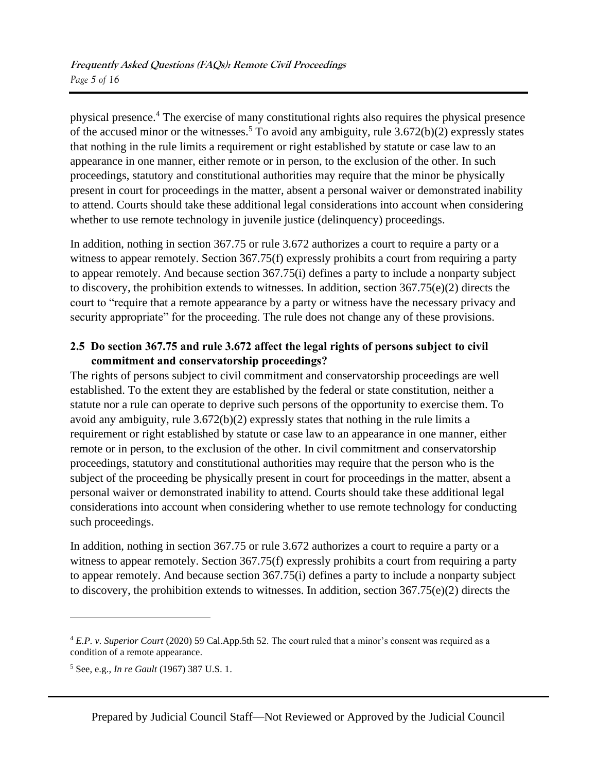physical presence.<sup>4</sup> The exercise of many constitutional rights also requires the physical presence of the accused minor or the witnesses.<sup>5</sup> To avoid any ambiguity, rule  $3.672(b)(2)$  expressly states that nothing in the rule limits a requirement or right established by statute or case law to an appearance in one manner, either remote or in person, to the exclusion of the other. In such proceedings, statutory and constitutional authorities may require that the minor be physically present in court for proceedings in the matter, absent a personal waiver or demonstrated inability to attend. Courts should take these additional legal considerations into account when considering whether to use remote technology in juvenile justice (delinquency) proceedings.

In addition, nothing in section 367.75 or rule 3.672 authorizes a court to require a party or a witness to appear remotely. Section 367.75(f) expressly prohibits a court from requiring a party to appear remotely. And because section 367.75(i) defines a party to include a nonparty subject to discovery, the prohibition extends to witnesses. In addition, section 367.75(e)(2) directs the court to "require that a remote appearance by a party or witness have the necessary privacy and security appropriate" for the proceeding. The rule does not change any of these provisions.

# **2.5 Do section 367.75 and rule 3.672 affect the legal rights of persons subject to civil commitment and conservatorship proceedings?**

The rights of persons subject to civil commitment and conservatorship proceedings are well established. To the extent they are established by the federal or state constitution, neither a statute nor a rule can operate to deprive such persons of the opportunity to exercise them. To avoid any ambiguity, rule 3.672(b)(2) expressly states that nothing in the rule limits a requirement or right established by statute or case law to an appearance in one manner, either remote or in person, to the exclusion of the other. In civil commitment and conservatorship proceedings, statutory and constitutional authorities may require that the person who is the subject of the proceeding be physically present in court for proceedings in the matter, absent a personal waiver or demonstrated inability to attend. Courts should take these additional legal considerations into account when considering whether to use remote technology for conducting such proceedings.

In addition, nothing in section 367.75 or rule 3.672 authorizes a court to require a party or a witness to appear remotely. Section 367.75(f) expressly prohibits a court from requiring a party to appear remotely. And because section 367.75(i) defines a party to include a nonparty subject to discovery, the prohibition extends to witnesses. In addition, section 367.75(e)(2) directs the

<sup>4</sup> *E.P. v. Superior Court* (2020) 59 Cal.App.5th 52. The court ruled that a minor's consent was required as a condition of a remote appearance.

<sup>5</sup> See, e.g., *In re Gault* (1967) 387 U.S. 1.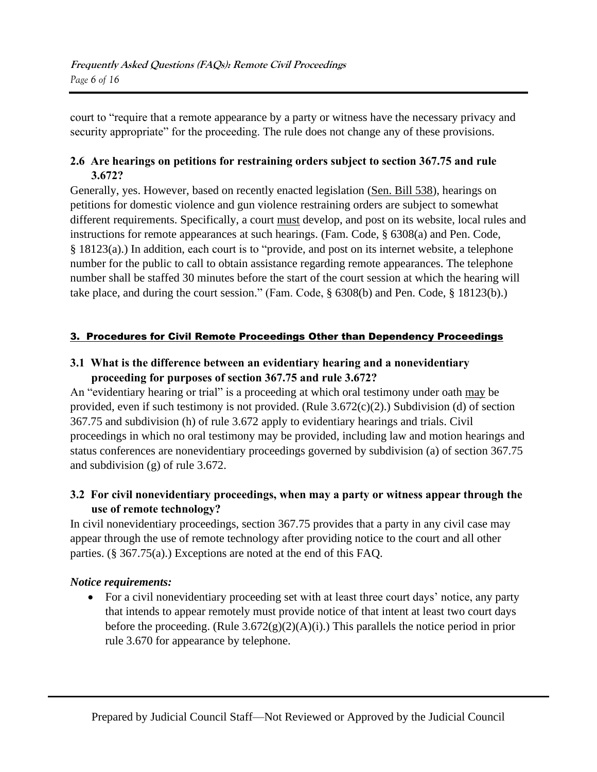court to "require that a remote appearance by a party or witness have the necessary privacy and security appropriate" for the proceeding. The rule does not change any of these provisions.

# **2.6 Are hearings on petitions for restraining orders subject to section 367.75 and rule 3.672?**

Generally, yes. However, based on recently enacted legislation [\(Sen. Bill 538\)](https://leginfo.legislature.ca.gov/faces/billTextClient.xhtml?bill_id=202120220SB538), hearings on petitions for domestic violence and gun violence restraining orders are subject to somewhat different requirements. Specifically, a court must develop, and post on its website, local rules and instructions for remote appearances at such hearings. (Fam. Code, § 6308(a) and Pen. Code, § 18123(a).) In addition, each court is to "provide, and post on its internet website, a telephone number for the public to call to obtain assistance regarding remote appearances. The telephone number shall be staffed 30 minutes before the start of the court session at which the hearing will take place, and during the court session." (Fam. Code, § 6308(b) and Pen. Code, § 18123(b).)

#### 3. Procedures for Civil Remote Proceedings Other than Dependency Proceedings

# **3.1 What is the difference between an evidentiary hearing and a nonevidentiary proceeding for purposes of section 367.75 and rule 3.672?**

An "evidentiary hearing or trial" is a proceeding at which oral testimony under oath may be provided, even if such testimony is not provided. (Rule 3.672(c)(2).) Subdivision (d) of section 367.75 and subdivision (h) of rule 3.672 apply to evidentiary hearings and trials. Civil proceedings in which no oral testimony may be provided, including law and motion hearings and status conferences are nonevidentiary proceedings governed by subdivision (a) of section 367.75 and subdivision (g) of rule 3.672.

# **3.2 For civil nonevidentiary proceedings, when may a party or witness appear through the use of remote technology?**

In civil nonevidentiary proceedings, section 367.75 provides that a party in any civil case may appear through the use of remote technology after providing notice to the court and all other parties. (§ 367.75(a).) Exceptions are noted at the end of this FAQ.

# *Notice requirements:*

• For a civil nonevidentiary proceeding set with at least three court days' notice, any party that intends to appear remotely must provide notice of that intent at least two court days before the proceeding. (Rule  $3.672(g)(2)(A)(i)$ .) This parallels the notice period in prior rule 3.670 for appearance by telephone.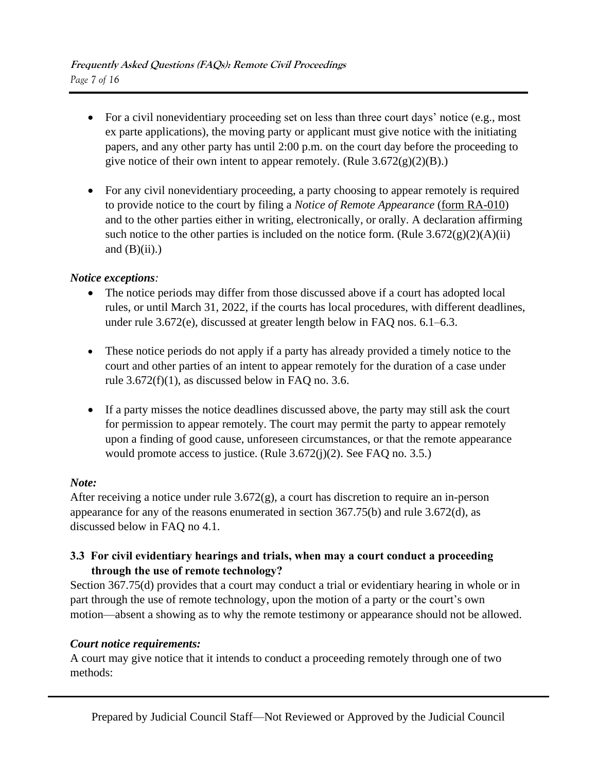- For a civil nonevidentiary proceeding set on less than three court days' notice (e.g., most ex parte applications), the moving party or applicant must give notice with the initiating papers, and any other party has until 2:00 p.m. on the court day before the proceeding to give notice of their own intent to appear remotely. (Rule  $3.672(g)(2)(B)$ .)
- For any civil nonevidentiary proceeding, a party choosing to appear remotely is required to provide notice to the court by filing a *Notice of Remote Appearance* [\(form RA-010\)](https://www.courts.ca.gov/documents/ra010.pdf) and to the other parties either in writing, electronically, or orally. A declaration affirming such notice to the other parties is included on the notice form. (Rule  $3.672(g)(2)(A)(ii)$ ) and  $(B)(ii)$ .)

#### *Notice exceptions:*

- The notice periods may differ from those discussed above if a court has adopted local rules, or until March 31, 2022, if the courts has local procedures, with different deadlines, under rule 3.672(e), discussed at greater length below in FAQ nos. 6.1–6.3.
- These notice periods do not apply if a party has already provided a timely notice to the court and other parties of an intent to appear remotely for the duration of a case under rule  $3.672(f)(1)$ , as discussed below in FAQ no. 3.6.
- If a party misses the notice deadlines discussed above, the party may still ask the court for permission to appear remotely. The court may permit the party to appear remotely upon a finding of good cause, unforeseen circumstances, or that the remote appearance would promote access to justice. (Rule 3.672(j)(2). See FAQ no. 3.5.)

#### *Note:*

After receiving a notice under rule 3.672(g), a court has discretion to require an in-person appearance for any of the reasons enumerated in section 367.75(b) and rule 3.672(d), as discussed below in FAQ no 4.1.

#### **3.3 For civil evidentiary hearings and trials, when may a court conduct a proceeding through the use of remote technology?**

Section 367.75(d) provides that a court may conduct a trial or evidentiary hearing in whole or in part through the use of remote technology, upon the motion of a party or the court's own motion—absent a showing as to why the remote testimony or appearance should not be allowed.

#### *Court notice requirements:*

A court may give notice that it intends to conduct a proceeding remotely through one of two methods: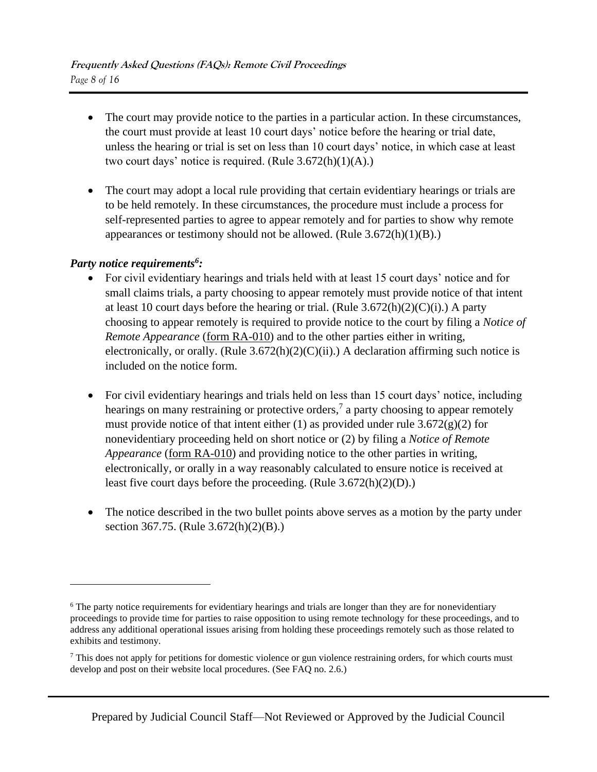- The court may provide notice to the parties in a particular action. In these circumstances, the court must provide at least 10 court days' notice before the hearing or trial date, unless the hearing or trial is set on less than 10 court days' notice, in which case at least two court days' notice is required. (Rule  $3.672(h)(1)(A)$ .)
- The court may adopt a local rule providing that certain evidentiary hearings or trials are to be held remotely. In these circumstances, the procedure must include a process for self-represented parties to agree to appear remotely and for parties to show why remote appearances or testimony should not be allowed. (Rule  $3.672(h)(1)(B)$ .)

# *Party notice requirements<sup>6</sup> :*

- For civil evidentiary hearings and trials held with at least 15 court days' notice and for small claims trials, a party choosing to appear remotely must provide notice of that intent at least 10 court days before the hearing or trial. (Rule  $3.672(h)(2)(C)(i)$ .) A party choosing to appear remotely is required to provide notice to the court by filing a *Notice of Remote Appearance* [\(form RA-010\)](https://www.courts.ca.gov/documents/ra010.pdf) and to the other parties either in writing, electronically, or orally. (Rule  $3.672(h)(2)(C)(ii)$ .) A declaration affirming such notice is included on the notice form.
- For civil evidentiary hearings and trials held on less than 15 court days' notice, including hearings on many restraining or protective orders,<sup>7</sup> a party choosing to appear remotely must provide notice of that intent either (1) as provided under rule  $3.672(g)(2)$  for nonevidentiary proceeding held on short notice or (2) by filing a *Notice of Remote Appearance* [\(form RA-010\)](https://www.courts.ca.gov/documents/ra010.pdf) and providing notice to the other parties in writing, electronically, or orally in a way reasonably calculated to ensure notice is received at least five court days before the proceeding. (Rule 3.672(h)(2)(D).)
- The notice described in the two bullet points above serves as a motion by the party under section 367.75. (Rule 3.672(h)(2)(B).)

<sup>&</sup>lt;sup>6</sup> The party notice requirements for evidentiary hearings and trials are longer than they are for nonevidentiary proceedings to provide time for parties to raise opposition to using remote technology for these proceedings, and to address any additional operational issues arising from holding these proceedings remotely such as those related to exhibits and testimony.

<sup>&</sup>lt;sup>7</sup> This does not apply for petitions for domestic violence or gun violence restraining orders, for which courts must develop and post on their website local procedures. (See FAQ no. 2.6.)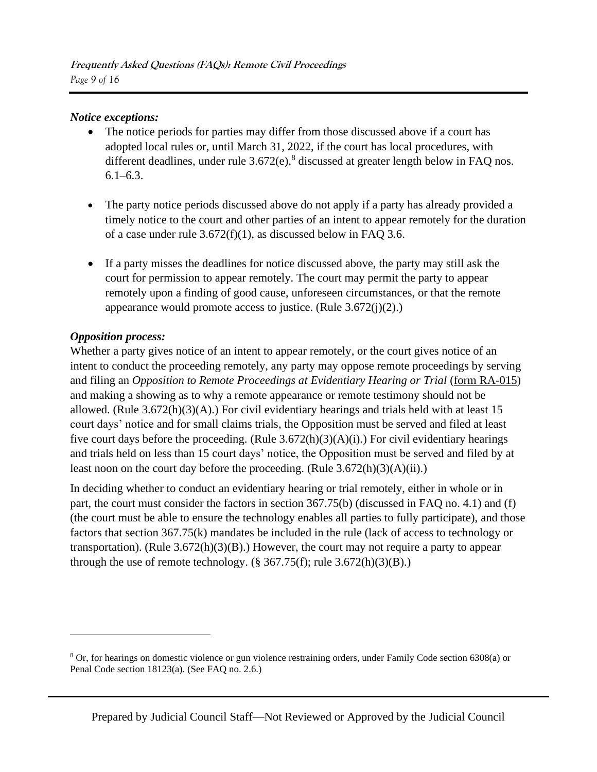#### *Notice exceptions:*

- The notice periods for parties may differ from those discussed above if a court has adopted local rules or, until March 31, 2022, if the court has local procedures, with different deadlines, under rule  $3.672(e)$ ,  $8$  discussed at greater length below in FAQ nos.  $6.1 - 6.3$ .
- The party notice periods discussed above do not apply if a party has already provided a timely notice to the court and other parties of an intent to appear remotely for the duration of a case under rule 3.672(f)(1), as discussed below in FAQ 3.6.
- If a party misses the deadlines for notice discussed above, the party may still ask the court for permission to appear remotely. The court may permit the party to appear remotely upon a finding of good cause, unforeseen circumstances, or that the remote appearance would promote access to justice. (Rule 3.672(j)(2).)

#### *Opposition process:*

Whether a party gives notice of an intent to appear remotely, or the court gives notice of an intent to conduct the proceeding remotely, any party may oppose remote proceedings by serving and filing an *Opposition to Remote Proceedings at Evidentiary Hearing or Trial* [\(form RA-015\)](https://www.courts.ca.gov/documents/ra015.pdf) and making a showing as to why a remote appearance or remote testimony should not be allowed. (Rule 3.672(h)(3)(A).) For civil evidentiary hearings and trials held with at least 15 court days' notice and for small claims trials, the Opposition must be served and filed at least five court days before the proceeding. (Rule  $3.672(h)(3)(A)(i)$ .) For civil evidentiary hearings and trials held on less than 15 court days' notice, the Opposition must be served and filed by at least noon on the court day before the proceeding. (Rule  $3.672(h)(3)(A)(ii)$ .)

In deciding whether to conduct an evidentiary hearing or trial remotely, either in whole or in part, the court must consider the factors in section 367.75(b) (discussed in FAQ no. 4.1) and (f) (the court must be able to ensure the technology enables all parties to fully participate), and those factors that section 367.75(k) mandates be included in the rule (lack of access to technology or transportation). (Rule 3.672(h)(3)(B).) However, the court may not require a party to appear through the use of remote technology.  $(\S 367.75(f);$  rule  $3.672(h)(3)(B).$ )

<sup>8</sup> Or, for hearings on domestic violence or gun violence restraining orders, under Family Code section 6308(a) or Penal Code section 18123(a). (See FAQ no. 2.6.)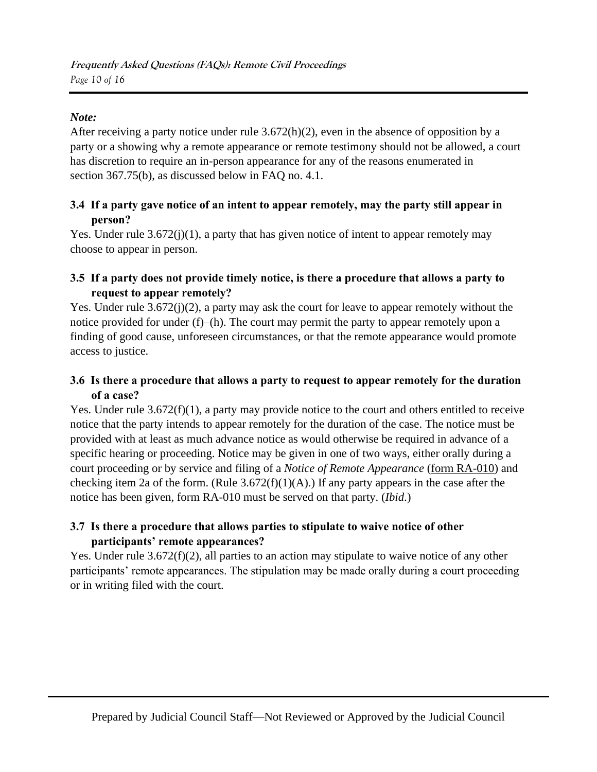# *Note:*

After receiving a party notice under rule 3.672(h)(2), even in the absence of opposition by a party or a showing why a remote appearance or remote testimony should not be allowed, a court has discretion to require an in-person appearance for any of the reasons enumerated in section 367.75(b), as discussed below in FAQ no. 4.1.

# **3.4 If a party gave notice of an intent to appear remotely, may the party still appear in person?**

Yes. Under rule 3.672(j)(1), a party that has given notice of intent to appear remotely may choose to appear in person.

# **3.5 If a party does not provide timely notice, is there a procedure that allows a party to request to appear remotely?**

Yes. Under rule  $3.672(j)(2)$ , a party may ask the court for leave to appear remotely without the notice provided for under (f)–(h). The court may permit the party to appear remotely upon a finding of good cause, unforeseen circumstances, or that the remote appearance would promote access to justice.

# **3.6 Is there a procedure that allows a party to request to appear remotely for the duration of a case?**

Yes. Under rule 3.672(f)(1), a party may provide notice to the court and others entitled to receive notice that the party intends to appear remotely for the duration of the case. The notice must be provided with at least as much advance notice as would otherwise be required in advance of a specific hearing or proceeding. Notice may be given in one of two ways, either orally during a court proceeding or by service and filing of a *Notice of Remote Appearance* [\(form RA-010\)](https://www.courts.ca.gov/documents/ra010.pdf) and checking item 2a of the form. (Rule  $3.672(f)(1)(A)$ .) If any party appears in the case after the notice has been given, form RA-010 must be served on that party. (*Ibid*.)

# **3.7 Is there a procedure that allows parties to stipulate to waive notice of other participants' remote appearances?**

Yes. Under rule 3.672(f)(2), all parties to an action may stipulate to waive notice of any other participants' remote appearances. The stipulation may be made orally during a court proceeding or in writing filed with the court.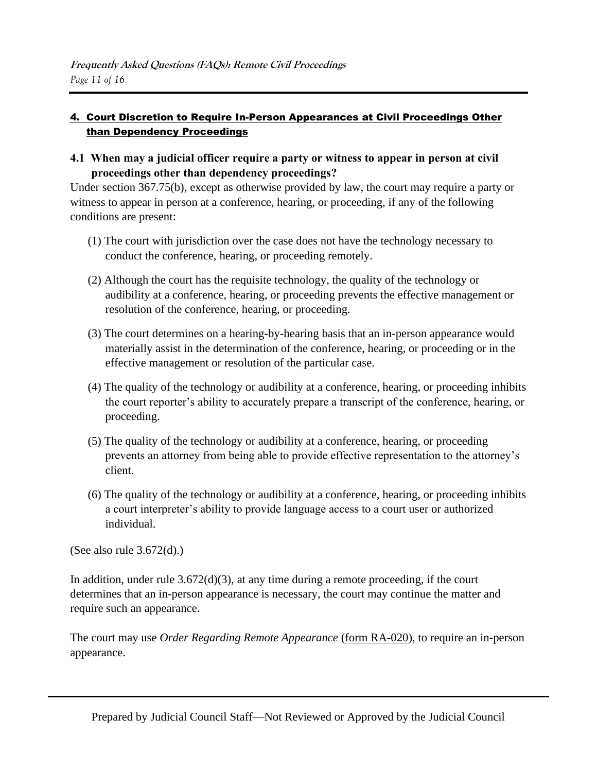#### 4. Court Discretion to Require In-Person Appearances at Civil Proceedings Other than Dependency Proceedings

**4.1 When may a judicial officer require a party or witness to appear in person at civil proceedings other than dependency proceedings?**

Under section 367.75(b), except as otherwise provided by law, the court may require a party or witness to appear in person at a conference, hearing, or proceeding, if any of the following conditions are present:

- (1) The court with jurisdiction over the case does not have the technology necessary to conduct the conference, hearing, or proceeding remotely.
- (2) Although the court has the requisite technology, the quality of the technology or audibility at a conference, hearing, or proceeding prevents the effective management or resolution of the conference, hearing, or proceeding.
- (3) The court determines on a hearing-by-hearing basis that an in-person appearance would materially assist in the determination of the conference, hearing, or proceeding or in the effective management or resolution of the particular case.
- (4) The quality of the technology or audibility at a conference, hearing, or proceeding inhibits the court reporter's ability to accurately prepare a transcript of the conference, hearing, or proceeding.
- (5) The quality of the technology or audibility at a conference, hearing, or proceeding prevents an attorney from being able to provide effective representation to the attorney's client.
- (6) The quality of the technology or audibility at a conference, hearing, or proceeding inhibits a court interpreter's ability to provide language access to a court user or authorized individual.

(See also rule 3.672(d).)

In addition, under rule  $3.672(d)(3)$ , at any time during a remote proceeding, if the court determines that an in-person appearance is necessary, the court may continue the matter and require such an appearance.

The court may use *Order Regarding Remote Appearance* [\(form RA-020\)](https://www.courts.ca.gov/documents/ra020.pdf), to require an in-person appearance.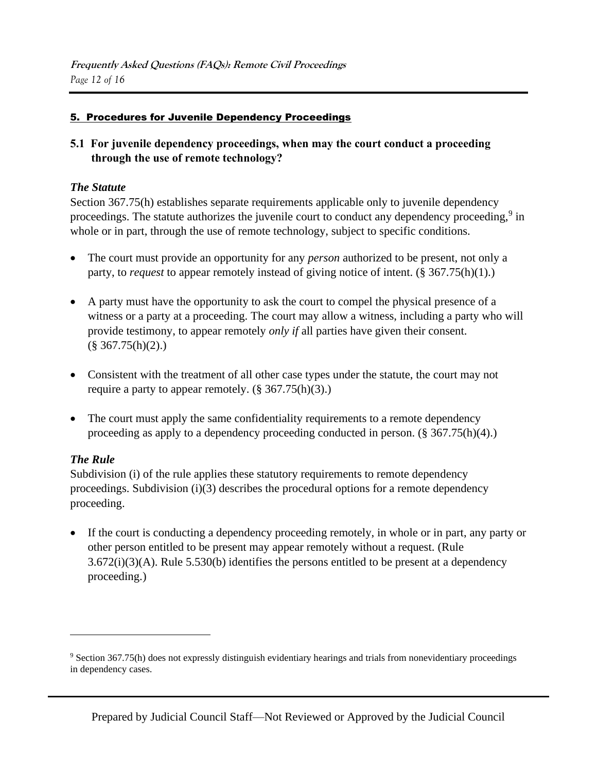#### 5. Procedures for Juvenile Dependency Proceedings

**5.1 For juvenile dependency proceedings, when may the court conduct a proceeding through the use of remote technology?**

#### *The Statute*

Section 367.75(h) establishes separate requirements applicable only to juvenile dependency proceedings. The statute authorizes the juvenile court to conduct any dependency proceeding,<sup>9</sup> in whole or in part, through the use of remote technology, subject to specific conditions.

- The court must provide an opportunity for any *person* authorized to be present, not only a party, to *request* to appear remotely instead of giving notice of intent. (§ 367.75(h)(1).)
- A party must have the opportunity to ask the court to compel the physical presence of a witness or a party at a proceeding. The court may allow a witness, including a party who will provide testimony, to appear remotely *only if* all parties have given their consent.  $(\S$  367.75(h)(2).)
- Consistent with the treatment of all other case types under the statute, the court may not require a party to appear remotely.  $(\S 367.75(h)(3))$ .
- The court must apply the same confidentiality requirements to a remote dependency proceeding as apply to a dependency proceeding conducted in person. (§ 367.75(h)(4).)

# *The Rule*

Subdivision (i) of the rule applies these statutory requirements to remote dependency proceedings. Subdivision (i)(3) describes the procedural options for a remote dependency proceeding.

• If the court is conducting a dependency proceeding remotely, in whole or in part, any party or other person entitled to be present may appear remotely without a request. (Rule 3.672(i)(3)(A). Rule 5.530(b) identifies the persons entitled to be present at a dependency proceeding.)

<sup>9</sup> Section 367.75(h) does not expressly distinguish evidentiary hearings and trials from nonevidentiary proceedings in dependency cases.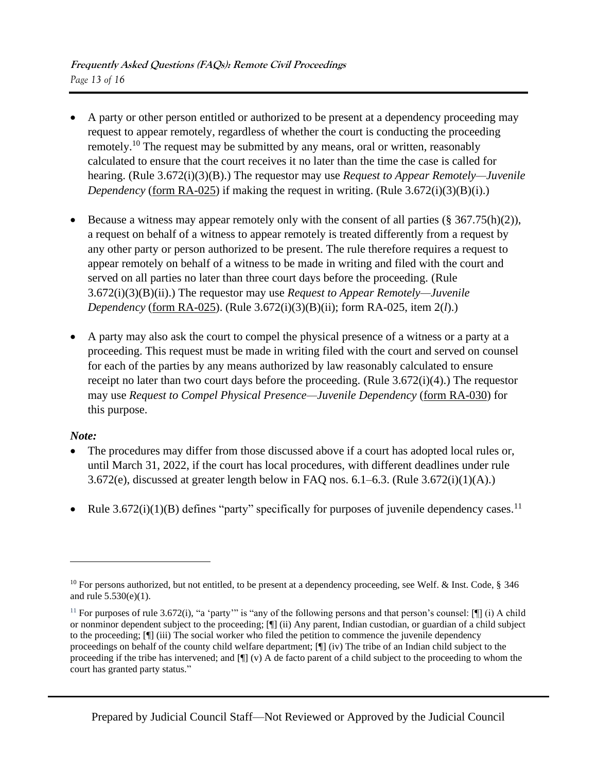- A party or other person entitled or authorized to be present at a dependency proceeding may request to appear remotely, regardless of whether the court is conducting the proceeding remotely.<sup>10</sup> The request may be submitted by any means, oral or written, reasonably calculated to ensure that the court receives it no later than the time the case is called for hearing. (Rule 3.672(i)(3)(B).) The requestor may use *Request to Appear Remotely—Juvenile Dependency* [\(form RA-025\)](https://www.courts.ca.gov/documents/ra025.pdf) if making the request in writing. (Rule 3.672(i)(3)(B)(i).)
- Because a witness may appear remotely only with the consent of all parties  $(\frac{8}{3}367.75(h)(2))$ , a request on behalf of a witness to appear remotely is treated differently from a request by any other party or person authorized to be present. The rule therefore requires a request to appear remotely on behalf of a witness to be made in writing and filed with the court and served on all parties no later than three court days before the proceeding. (Rule 3.672(i)(3)(B)(ii).) The requestor may use *Request to Appear Remotely—Juvenile Dependency* [\(form RA-025\)](https://www.courts.ca.gov/documents/ra025.pdf). (Rule 3.672(i)(3)(B)(ii); form RA-025, item 2(*l*).)
- A party may also ask the court to compel the physical presence of a witness or a party at a proceeding. This request must be made in writing filed with the court and served on counsel for each of the parties by any means authorized by law reasonably calculated to ensure receipt no later than two court days before the proceeding. (Rule 3.672(i)(4).) The requestor may use *Request to Compel Physical Presence—Juvenile Dependency* [\(form RA-030\)](https://www.courts.ca.gov/documents/ra030.pdf) for this purpose.

#### *Note:*

- The procedures may differ from those discussed above if a court has adopted local rules or, until March 31, 2022, if the court has local procedures, with different deadlines under rule 3.672(e), discussed at greater length below in FAQ nos.  $6.1-6.3$ . (Rule  $3.672(i)(1)(A)$ .)
- Rule  $3.672(i)(1)(B)$  defines "party" specifically for purposes of juvenile dependency cases.<sup>11</sup>

<sup>&</sup>lt;sup>10</sup> For persons authorized, but not entitled, to be present at a dependency proceeding, see Welf. & Inst. Code,  $\S$  346 and rule 5.530(e)(1).

<sup>&</sup>lt;sup>11</sup> For purposes of rule 3.672(i), "a 'party'" is "any of the following persons and that person's counsel:  $[\P]$  (i) A child or nonminor dependent subject to the proceeding; [¶] (ii) Any parent, Indian custodian, or guardian of a child subject to the proceeding; [¶] (iii) The social worker who filed the petition to commence the juvenile dependency proceedings on behalf of the county child welfare department; [¶] (iv) The tribe of an Indian child subject to the proceeding if the tribe has intervened; and [¶] (v) A de facto parent of a child subject to the proceeding to whom the court has granted party status."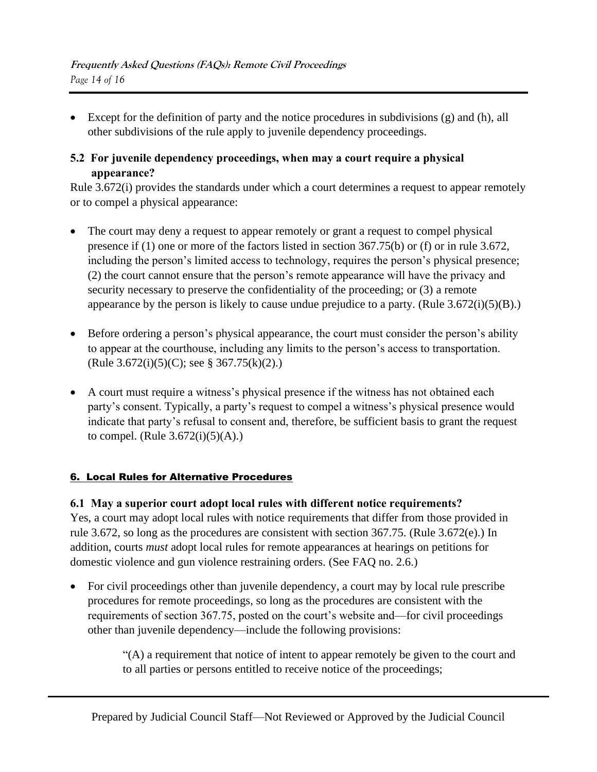• Except for the definition of party and the notice procedures in subdivisions (g) and (h), all other subdivisions of the rule apply to juvenile dependency proceedings.

# **5.2 For juvenile dependency proceedings, when may a court require a physical appearance?**

Rule 3.672(i) provides the standards under which a court determines a request to appear remotely or to compel a physical appearance:

- The court may deny a request to appear remotely or grant a request to compel physical presence if (1) one or more of the factors listed in section 367.75(b) or (f) or in rule 3.672, including the person's limited access to technology, requires the person's physical presence; (2) the court cannot ensure that the person's remote appearance will have the privacy and security necessary to preserve the confidentiality of the proceeding; or (3) a remote appearance by the person is likely to cause undue prejudice to a party. (Rule  $3.672(i)(5)(B)$ .)
- Before ordering a person's physical appearance, the court must consider the person's ability to appear at the courthouse, including any limits to the person's access to transportation. (Rule 3.672(i)(5)(C); see § 367.75(k)(2).)
- A court must require a witness's physical presence if the witness has not obtained each party's consent. Typically, a party's request to compel a witness's physical presence would indicate that party's refusal to consent and, therefore, be sufficient basis to grant the request to compel. (Rule  $3.672(i)(5)(A)$ .)

# 6. Local Rules for Alternative Procedures

# **6.1 May a superior court adopt local rules with different notice requirements?**

Yes, a court may adopt local rules with notice requirements that differ from those provided in rule 3.672, so long as the procedures are consistent with section 367.75. (Rule 3.672(e).) In addition, courts *must* adopt local rules for remote appearances at hearings on petitions for domestic violence and gun violence restraining orders. (See FAQ no. 2.6.)

• For civil proceedings other than juvenile dependency, a court may by local rule prescribe procedures for remote proceedings, so long as the procedures are consistent with the requirements of section 367.75, posted on the court's website and—for civil proceedings other than juvenile dependency—include the following provisions:

> "(A) a requirement that notice of intent to appear remotely be given to the court and to all parties or persons entitled to receive notice of the proceedings;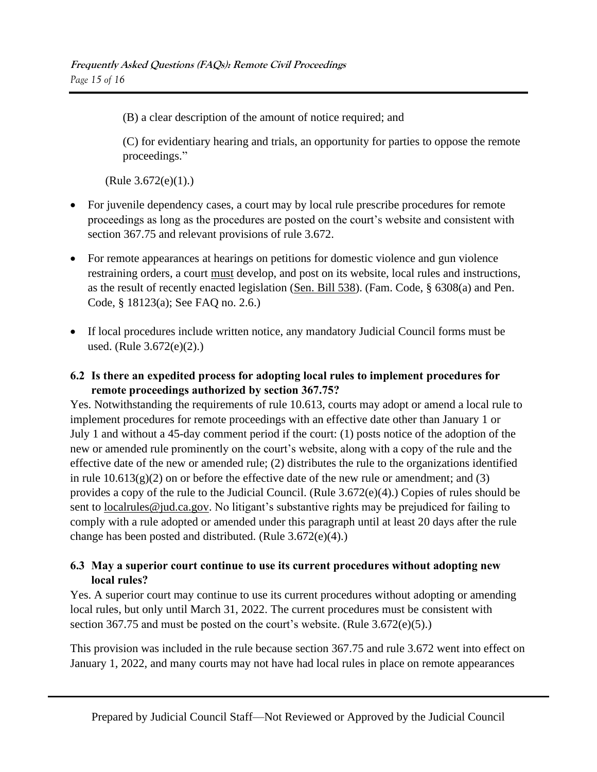(B) a clear description of the amount of notice required; and

(C) for evidentiary hearing and trials, an opportunity for parties to oppose the remote proceedings."

(Rule 3.672(e)(1).)

- For juvenile dependency cases, a court may by local rule prescribe procedures for remote proceedings as long as the procedures are posted on the court's website and consistent with section 367.75 and relevant provisions of rule 3.672.
- For remote appearances at hearings on petitions for domestic violence and gun violence restraining orders, a court must develop, and post on its website, local rules and instructions, as the result of recently enacted legislation [\(Sen. Bill 538\)](https://leginfo.legislature.ca.gov/faces/billTextClient.xhtml?bill_id=202120220SB538). (Fam. Code, § 6308(a) and Pen. Code, § 18123(a); See FAQ no. 2.6.)
- If local procedures include written notice, any mandatory Judicial Council forms must be used. (Rule 3.672(e)(2).)

# **6.2 Is there an expedited process for adopting local rules to implement procedures for remote proceedings authorized by section 367.75?**

Yes. Notwithstanding the requirements of rule 10.613, courts may adopt or amend a local rule to implement procedures for remote proceedings with an effective date other than January 1 or July 1 and without a 45-day comment period if the court: (1) posts notice of the adoption of the new or amended rule prominently on the court's website, along with a copy of the rule and the effective date of the new or amended rule; (2) distributes the rule to the organizations identified in rule  $10.613(g)(2)$  on or before the effective date of the new rule or amendment; and (3) provides a copy of the rule to the Judicial Council. (Rule 3.672(e)(4).) Copies of rules should be sent to <u>localrules@jud.ca.gov</u>. No litigant's substantive rights may be prejudiced for failing to comply with a rule adopted or amended under this paragraph until at least 20 days after the rule change has been posted and distributed. (Rule 3.672(e)(4).)

# **6.3 May a superior court continue to use its current procedures without adopting new local rules?**

Yes. A superior court may continue to use its current procedures without adopting or amending local rules, but only until March 31, 2022. The current procedures must be consistent with section 367.75 and must be posted on the court's website. (Rule 3.672(e)(5).)

This provision was included in the rule because section 367.75 and rule 3.672 went into effect on January 1, 2022, and many courts may not have had local rules in place on remote appearances